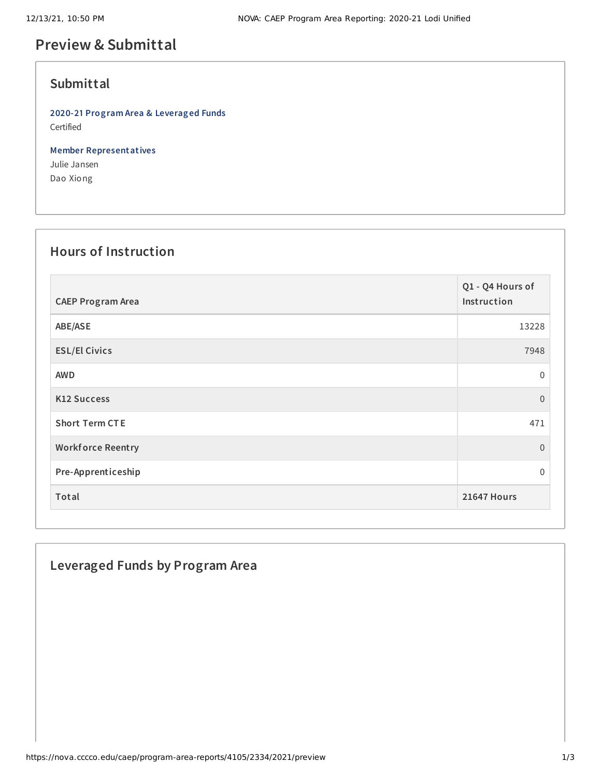# **Preview & Submittal**

## **Submittal**

**2020-21 Program Area & Leveraged Funds** Certified

**Member Representatives** Julie Jansen Dao Xiong

#### **Hours of Instruction**

| <b>CAEP Program Area</b> | Q1 - Q4 Hours of<br>Instruction |
|--------------------------|---------------------------------|
| ABE/ASE                  | 13228                           |
| <b>ESL/El Civics</b>     | 7948                            |
| <b>AWD</b>               | $\Omega$                        |
| <b>K12 Success</b>       | $\Omega$                        |
| <b>Short Term CTE</b>    | 471                             |
| <b>Workforce Reentry</b> | $\overline{0}$                  |
| Pre-Apprenticeship       | $\Omega$                        |
| Total                    | 21647 Hours                     |

## **Leveraged Funds by Program Area**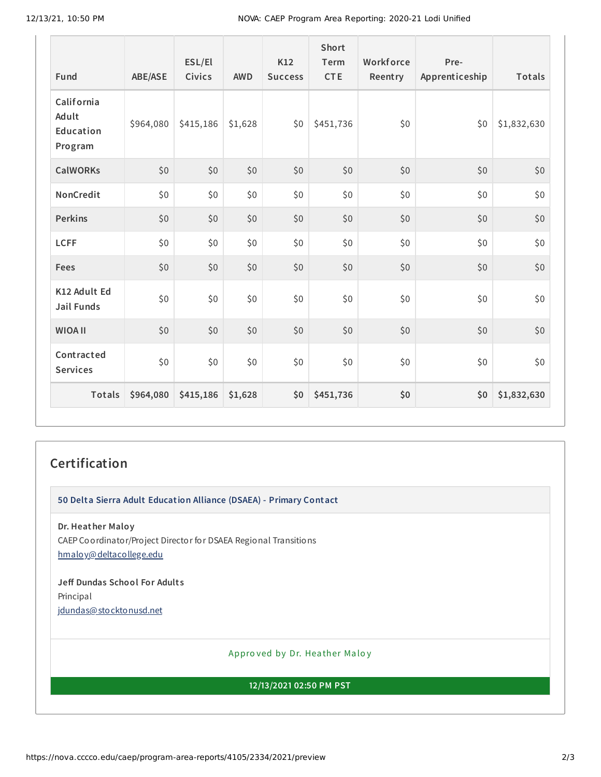| Fund                                        | ABE/ASE   | ESL/El<br><b>Civics</b> | <b>AWD</b> | K12<br><b>Success</b> | Short<br>Term<br><b>CTE</b> | Workforce<br>Reentry | Pre-<br>Apprenticeship | Totals      |
|---------------------------------------------|-----------|-------------------------|------------|-----------------------|-----------------------------|----------------------|------------------------|-------------|
| California<br>Adult<br>Education<br>Program | \$964,080 | \$415,186               | \$1,628    | \$0                   | \$451,736                   | \$0                  | \$0                    | \$1,832,630 |
| <b>CalWORKs</b>                             | \$0       | \$0                     | \$0        | \$0                   | \$0                         | \$0                  | \$0                    | \$0         |
| NonCredit                                   | \$0       | \$0                     | \$0        | \$0\$                 | \$0                         | \$0                  | \$0                    | \$0         |
| <b>Perkins</b>                              | \$0       | \$0                     | \$0        | \$0                   | \$0                         | \$0                  | \$0                    | $$0$$       |
| <b>LCFF</b>                                 | \$0       | \$0                     | \$0        | \$0\$                 | \$0\$                       | \$0                  | \$0                    | \$0         |
| Fees                                        | \$0       | \$0                     | \$0        | \$0\$                 | \$0                         | \$0                  | \$0                    | \$0         |
| K12 Adult Ed<br>Jail Funds                  | \$0       | \$0                     | \$0        | \$0                   | \$0\$                       | \$0\$                | \$0\$                  | $$0$$       |
| <b>WIOA II</b>                              | \$0       | \$0                     | \$0        | \$0                   | \$0                         | \$0                  | \$0                    | \$0         |
| Contracted<br><b>Services</b>               | \$0       | \$0                     | \$0        | \$0\$                 | \$0\$                       | \$0                  | \$0                    | \$0         |
| <b>Totals</b>                               | \$964,080 | \$415,186               | \$1,628    | \$0                   | \$451,736                   | \$0                  | \$0                    | \$1,832,630 |

## **Certification**

**50 Delta Sierra Adult Education Alliance (DSAEA) - Primary Contact**

**Dr. Heather Maloy** CAEP Coordinator/Project Director for DSAEA Regional Transitions [hmaloy@deltacollege.edu](mailto:hmaloy@deltacollege.edu)

**Jeff Dundas School For Adult s** Principal [jdundas@stocktonusd.net](mailto:jdundas@stocktonusd.net)

Appro ved by Dr. Heather Maloy

**12/13/2021 02:50 PM PST**